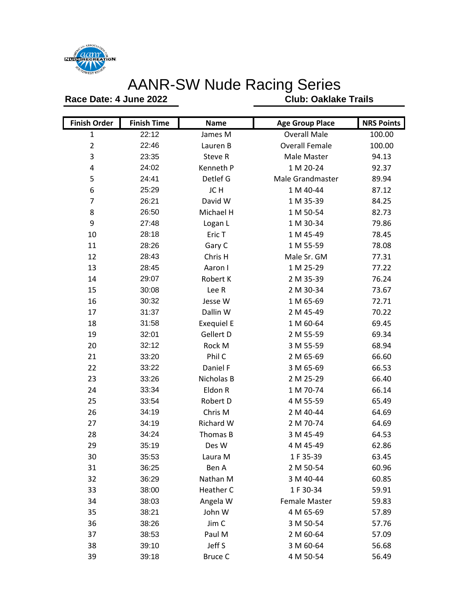

## AANR-SW Nude Racing Series

**Race Date: 4 June 2022**

**Club: Oaklake Trails**

| <b>Finish Order</b> | <b>Finish Time</b> | <b>Name</b>       | <b>Age Group Place</b> | <b>NRS Points</b> |
|---------------------|--------------------|-------------------|------------------------|-------------------|
| $\mathbf{1}$        | 22:12              | James M           | <b>Overall Male</b>    | 100.00            |
| $\overline{2}$      | 22:46              | Lauren B          | <b>Overall Female</b>  | 100.00            |
| 3                   | 23:35              | Steve R           | Male Master            | 94.13             |
| 4                   | 24:02              | Kenneth P         | 1 M 20-24              | 92.37             |
| 5                   | 24:41              | Detlef G          | Male Grandmaster       | 89.94             |
| 6                   | 25:29              | JC H              | 1 M 40-44              | 87.12             |
| $\overline{7}$      | 26:21              | David W           | 1 M 35-39              | 84.25             |
| 8                   | 26:50              | Michael H         | 1 M 50-54              | 82.73             |
| 9                   | 27:48              | Logan L           | 1 M 30-34              | 79.86             |
| 10                  | 28:18              | Eric T            | 1 M 45-49              | 78.45             |
| 11                  | 28:26              | Gary C            | 1 M 55-59              | 78.08             |
| 12                  | 28:43              | Chris H           | Male Sr. GM            | 77.31             |
| 13                  | 28:45              | Aaron I           | 1 M 25-29              | 77.22             |
| 14                  | 29:07              | Robert K          | 2 M 35-39              | 76.24             |
| 15                  | 30:08              | Lee R             | 2 M 30-34              | 73.67             |
| 16                  | 30:32              | Jesse W           | 1 M 65-69              | 72.71             |
| 17                  | 31:37              | Dallin W          | 2 M 45-49              | 70.22             |
| 18                  | 31:58              | <b>Exequiel E</b> | 1 M 60-64              | 69.45             |
| 19                  | 32:01              | Gellert D         | 2 M 55-59              | 69.34             |
| 20                  | 32:12              | Rock M            | 3 M 55-59              | 68.94             |
| 21                  | 33:20              | Phil C            | 2 M 65-69              | 66.60             |
| 22                  | 33:22              | Daniel F          | 3 M 65-69              | 66.53             |
| 23                  | 33:26              | Nicholas B        | 2 M 25-29              | 66.40             |
| 24                  | 33:34              | Eldon R           | 1 M 70-74              | 66.14             |
| 25                  | 33:54              | Robert D          | 4 M 55-59              | 65.49             |
| 26                  | 34:19              | Chris M           | 2 M 40-44              | 64.69             |
| 27                  | 34:19              | Richard W         | 2 M 70-74              | 64.69             |
| 28                  | 34:24              | Thomas B          | 3 M 45-49              | 64.53             |
| 29                  | 35:19              | Des W             | 4 M 45-49              | 62.86             |
| 30                  | 35:53              | Laura M           | 1F35-39                | 63.45             |
| 31                  | 36:25              | Ben A             | 2 M 50-54              | 60.96             |
| 32                  | 36:29              | Nathan M          | 3 M 40-44              | 60.85             |
| 33                  | 38:00              | Heather C         | 1 F 30-34              | 59.91             |
| 34                  | 38:03              | Angela W          | <b>Female Master</b>   | 59.83             |
| 35                  | 38:21              | John W            | 4 M 65-69              | 57.89             |
| 36                  | 38:26              | Jim C             | 3 M 50-54              | 57.76             |
| 37                  | 38:53              | Paul M            | 2 M 60-64              | 57.09             |
| 38                  | 39:10              | Jeff S            | 3 M 60-64              | 56.68             |
| 39                  | 39:18              | <b>Bruce C</b>    | 4 M 50-54              | 56.49             |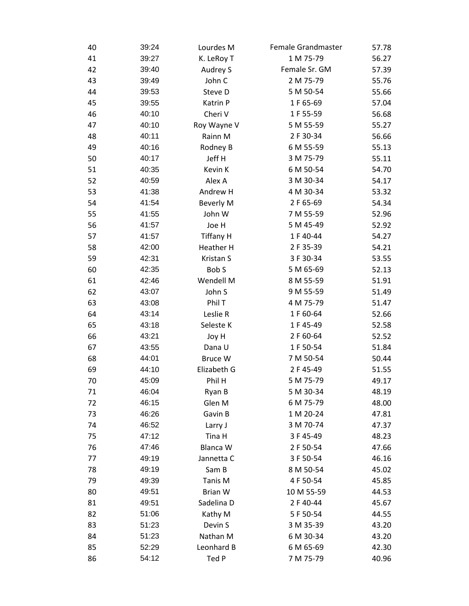| 40 | 39:24 | Lourdes M        | Female Grandmaster | 57.78 |
|----|-------|------------------|--------------------|-------|
| 41 | 39:27 | K. LeRoy T       | 1 M 75-79          | 56.27 |
| 42 | 39:40 | Audrey S         | Female Sr. GM      | 57.39 |
| 43 | 39:49 | John C           | 2 M 75-79          | 55.76 |
| 44 | 39:53 | Steve D          | 5 M 50-54          | 55.66 |
| 45 | 39:55 | Katrin P         | 1F65-69            | 57.04 |
| 46 | 40:10 | Cheri V          | 1F 55-59           | 56.68 |
| 47 | 40:10 | Roy Wayne V      | 5 M 55-59          | 55.27 |
| 48 | 40:11 | Rainn M          | 2 F 30-34          | 56.66 |
| 49 | 40:16 | Rodney B         | 6 M 55-59          | 55.13 |
| 50 | 40:17 | Jeff H           | 3 M 75-79          | 55.11 |
| 51 | 40:35 | Kevin K          | 6 M 50-54          | 54.70 |
| 52 | 40:59 | Alex A           | 3 M 30-34          | 54.17 |
| 53 | 41:38 | Andrew H         | 4 M 30-34          | 53.32 |
| 54 | 41:54 | <b>Beverly M</b> | 2 F 65-69          | 54.34 |
| 55 | 41:55 | John W           | 7 M 55-59          | 52.96 |
| 56 | 41:57 | Joe H            | 5 M 45-49          | 52.92 |
| 57 | 41:57 | <b>Tiffany H</b> | 1 F 40-44          | 54.27 |
| 58 | 42:00 | Heather H        | 2 F 35-39          | 54.21 |
| 59 | 42:31 | Kristan S        | 3 F 30-34          | 53.55 |
| 60 | 42:35 | Bob S            | 5 M 65-69          | 52.13 |
| 61 | 42:46 | Wendell M        | 8 M 55-59          | 51.91 |
| 62 | 43:07 | John S           | 9 M 55-59          | 51.49 |
| 63 | 43:08 | Phil T           | 4 M 75-79          | 51.47 |
| 64 | 43:14 | Leslie R         | 1 F 60-64          | 52.66 |
| 65 | 43:18 | Seleste K        | 1 F 45-49          | 52.58 |
| 66 | 43:21 | Joy H            | 2 F 60-64          | 52.52 |
| 67 | 43:55 | Dana U           | 1 F 50-54          | 51.84 |
| 68 | 44:01 | Bruce W          | 7 M 50-54          | 50.44 |
| 69 | 44:10 | Elizabeth G      | 2 F 45-49          | 51.55 |
| 70 | 45:09 | Phil H           | 5 M 75-79          | 49.17 |
| 71 | 46:04 | Ryan B           | 5 M 30-34          | 48.19 |
| 72 | 46:15 | Glen M           | 6 M 75-79          | 48.00 |
| 73 | 46:26 | Gavin B          | 1 M 20-24          | 47.81 |
| 74 | 46:52 | Larry J          | 3 M 70-74          | 47.37 |
| 75 | 47:12 | Tina H           | 3 F 45-49          | 48.23 |
| 76 | 47:46 | Blanca W         | 2 F 50-54          | 47.66 |
| 77 | 49:19 | Jannetta C       | 3 F 50-54          | 46.16 |
| 78 | 49:19 | Sam B            | 8 M 50-54          | 45.02 |
| 79 | 49:39 | Tanis M          | 4 F 50-54          | 45.85 |
| 80 | 49:51 | <b>Brian W</b>   | 10 M 55-59         | 44.53 |
| 81 | 49:51 | Sadelina D       | 2 F 40-44          | 45.67 |
| 82 | 51:06 | Kathy M          | 5 F 50-54          | 44.55 |
| 83 | 51:23 | Devin S          | 3 M 35-39          | 43.20 |
| 84 | 51:23 | Nathan M         | 6 M 30-34          | 43.20 |
| 85 | 52:29 | Leonhard B       | 6 M 65-69          | 42.30 |
| 86 | 54:12 | Ted P            | 7 M 75-79          | 40.96 |